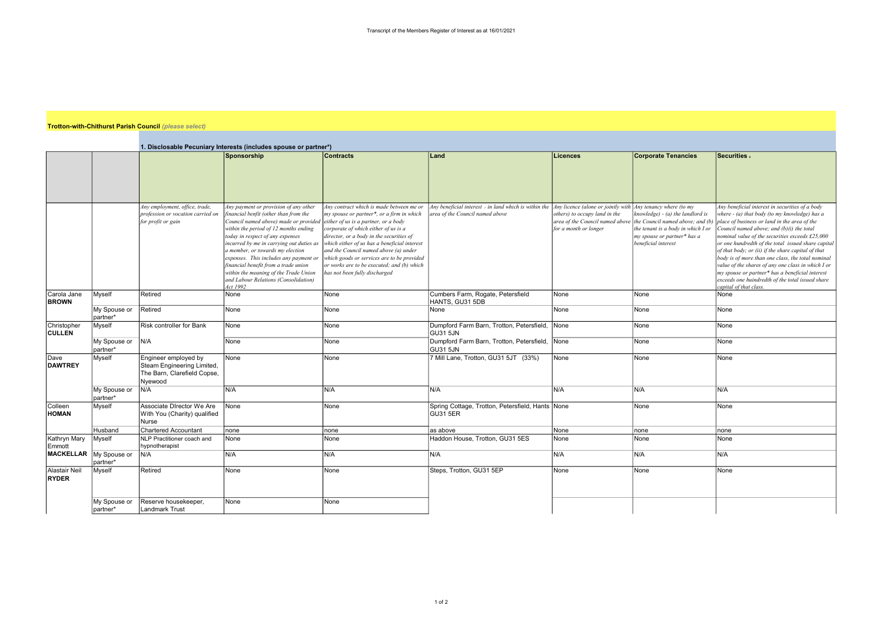## Trotton-with-Chithurst Parish Council (please select)

|                                                                                    |                          |                                                                                              | 1. Disclosable Pecuniary Interests (includes spouse or partner*)                                                                                                                                                                                                                                                                                                                                                                                                    |                                                                                                                                                                                                                                                                                                                                                                                                                                         |                                                                                                                                                             |                                                                                           |                                                                                                                                                                  |                                                                                                                                                                                                                                                                                                                                                                                                                                                                                                                                                                                                          |  |
|------------------------------------------------------------------------------------|--------------------------|----------------------------------------------------------------------------------------------|---------------------------------------------------------------------------------------------------------------------------------------------------------------------------------------------------------------------------------------------------------------------------------------------------------------------------------------------------------------------------------------------------------------------------------------------------------------------|-----------------------------------------------------------------------------------------------------------------------------------------------------------------------------------------------------------------------------------------------------------------------------------------------------------------------------------------------------------------------------------------------------------------------------------------|-------------------------------------------------------------------------------------------------------------------------------------------------------------|-------------------------------------------------------------------------------------------|------------------------------------------------------------------------------------------------------------------------------------------------------------------|----------------------------------------------------------------------------------------------------------------------------------------------------------------------------------------------------------------------------------------------------------------------------------------------------------------------------------------------------------------------------------------------------------------------------------------------------------------------------------------------------------------------------------------------------------------------------------------------------------|--|
|                                                                                    |                          |                                                                                              | Sponsorship                                                                                                                                                                                                                                                                                                                                                                                                                                                         | <b>Contracts</b>                                                                                                                                                                                                                                                                                                                                                                                                                        | Land                                                                                                                                                        | Licences                                                                                  | <b>Corporate Tenancies</b>                                                                                                                                       | Securities 2                                                                                                                                                                                                                                                                                                                                                                                                                                                                                                                                                                                             |  |
|                                                                                    |                          |                                                                                              |                                                                                                                                                                                                                                                                                                                                                                                                                                                                     |                                                                                                                                                                                                                                                                                                                                                                                                                                         |                                                                                                                                                             |                                                                                           |                                                                                                                                                                  |                                                                                                                                                                                                                                                                                                                                                                                                                                                                                                                                                                                                          |  |
|                                                                                    |                          | Any employment, office, trade,<br>profession or vocation carried on<br>for profit or gain    | Any payment or provision of any other<br>financial benfit (other than from the<br>Council named above) made or provided<br>within the period of 12 months ending<br>today in respect of any expenses<br>incurred by me in carrying out duties as<br>a member, or towards my election<br>expenses. This includes any payment or<br>financial benefit from a trade union<br>within the meaning of the Trade Union<br>and Labour Relations (Consolidation)<br>Act 1992 | Any contract which is made between me or<br>my spouse or partner*, or a firm in which<br>either of us is a partner, or a body<br>corporate of which either of us is a<br>director, or a body in the securities of<br>which either of us has a beneficial interest<br>and the Council named above (a) under<br>which goods or services are to be provided<br>or works are to be executed; and (b) which<br>has not been fully discharged | Any beneficial interest, in land which is within the $ $ Any licence (alone or jointly with $ $ Any tenancy where (to my<br>area of the Council named above | others) to occupy land in the<br>area of the Council named above<br>for a month or longer | knowledge) - (a) the landlord is<br>the Council named above; and (b)<br>the tenant is a body in which I or<br>my spouse or partner* has a<br>beneficial interest | Any beneficial interest in securities of a body<br>where - (a) that body (to my knowledge) has a<br>place of business or land in the area of the<br>Council named above; and (b)(i) the total<br>nominal value of the securities exceeds £25,000<br>or one hundredth of the total issued share capital<br>of that body; or (ii) if the share capital of that<br>body is of more than one class, the total nominal<br>value of the shares of any one class in which I or<br>my spouse or partner* has a beneficial interest<br>exceeds one huindredth of the total issued share<br>capital of that class. |  |
| Carola Jane<br><b>BROWN</b>                                                        | Myself                   | Retired                                                                                      | None                                                                                                                                                                                                                                                                                                                                                                                                                                                                | None                                                                                                                                                                                                                                                                                                                                                                                                                                    | Cumbers Farm, Rogate, Petersfield<br>HANTS, GU31 5DB                                                                                                        | None                                                                                      | None                                                                                                                                                             | None                                                                                                                                                                                                                                                                                                                                                                                                                                                                                                                                                                                                     |  |
|                                                                                    | My Spouse or<br>partner* | Retired                                                                                      | None                                                                                                                                                                                                                                                                                                                                                                                                                                                                | None                                                                                                                                                                                                                                                                                                                                                                                                                                    | None                                                                                                                                                        | None                                                                                      | None                                                                                                                                                             | None                                                                                                                                                                                                                                                                                                                                                                                                                                                                                                                                                                                                     |  |
| Christopher<br><b>CULLEN</b>                                                       | Myself                   | <b>Risk controller for Bank</b>                                                              | None                                                                                                                                                                                                                                                                                                                                                                                                                                                                | None                                                                                                                                                                                                                                                                                                                                                                                                                                    | Dumpford Farm Barn, Trotton, Petersfield,<br>GU31 5JN                                                                                                       | None                                                                                      | None                                                                                                                                                             | None                                                                                                                                                                                                                                                                                                                                                                                                                                                                                                                                                                                                     |  |
|                                                                                    | My Spouse or<br>partner* | N/A                                                                                          | None                                                                                                                                                                                                                                                                                                                                                                                                                                                                | None                                                                                                                                                                                                                                                                                                                                                                                                                                    | Dumpford Farm Barn, Trotton, Petersfield,<br>GU31 5JN                                                                                                       | None                                                                                      | None                                                                                                                                                             | None                                                                                                                                                                                                                                                                                                                                                                                                                                                                                                                                                                                                     |  |
| Dave<br><b>DAWTREY</b>                                                             | Myself                   | Engineer employed by<br>Steam Engineering Limited,<br>The Barn, Clarefield Copse,<br>Nyewood | None                                                                                                                                                                                                                                                                                                                                                                                                                                                                | None                                                                                                                                                                                                                                                                                                                                                                                                                                    | 7 Mill Lane, Trotton, GU31 5JT (33%)                                                                                                                        | None                                                                                      | None                                                                                                                                                             | None                                                                                                                                                                                                                                                                                                                                                                                                                                                                                                                                                                                                     |  |
|                                                                                    | My Spouse or<br>partner* | N/A                                                                                          | N/A                                                                                                                                                                                                                                                                                                                                                                                                                                                                 | N/A                                                                                                                                                                                                                                                                                                                                                                                                                                     | N/A                                                                                                                                                         | N/A                                                                                       | N/A                                                                                                                                                              | N/A                                                                                                                                                                                                                                                                                                                                                                                                                                                                                                                                                                                                      |  |
| Colleen<br><b>HOMAN</b>                                                            | Myself                   | Associate DIrector We Are<br>With You (Charity) qualified<br>Nurse                           | None                                                                                                                                                                                                                                                                                                                                                                                                                                                                | None                                                                                                                                                                                                                                                                                                                                                                                                                                    | Spring Cottage, Trotton, Petersfield, Hants None<br><b>GU31 5ER</b>                                                                                         |                                                                                           | None                                                                                                                                                             | None                                                                                                                                                                                                                                                                                                                                                                                                                                                                                                                                                                                                     |  |
|                                                                                    | Husband                  | <b>Chartered Accountant</b>                                                                  | none                                                                                                                                                                                                                                                                                                                                                                                                                                                                | none                                                                                                                                                                                                                                                                                                                                                                                                                                    | as above                                                                                                                                                    | None                                                                                      | none                                                                                                                                                             | none                                                                                                                                                                                                                                                                                                                                                                                                                                                                                                                                                                                                     |  |
| Kathryn Mary<br>Emmott<br><b>MACKELLAR</b><br><b>Alastair Neil</b><br><b>RYDER</b> | Myself                   | NLP Practitioner coach and<br>hypnotherapist                                                 | None                                                                                                                                                                                                                                                                                                                                                                                                                                                                | None                                                                                                                                                                                                                                                                                                                                                                                                                                    | Haddon House, Trotton, GU31 5ES                                                                                                                             | None                                                                                      | None                                                                                                                                                             | None                                                                                                                                                                                                                                                                                                                                                                                                                                                                                                                                                                                                     |  |
|                                                                                    | My Spouse or<br>partner* | N/A                                                                                          | N/A                                                                                                                                                                                                                                                                                                                                                                                                                                                                 | N/A                                                                                                                                                                                                                                                                                                                                                                                                                                     | N/A                                                                                                                                                         | N/A                                                                                       | N/A                                                                                                                                                              | N/A                                                                                                                                                                                                                                                                                                                                                                                                                                                                                                                                                                                                      |  |
|                                                                                    | Myself                   | Retired                                                                                      | None                                                                                                                                                                                                                                                                                                                                                                                                                                                                | None                                                                                                                                                                                                                                                                                                                                                                                                                                    | Steps, Trotton, GU31 5EP                                                                                                                                    | None                                                                                      | None                                                                                                                                                             | None                                                                                                                                                                                                                                                                                                                                                                                                                                                                                                                                                                                                     |  |
|                                                                                    | My Spouse or<br>partner* | Reserve housekeeper,<br><b>Landmark Trust</b>                                                | None                                                                                                                                                                                                                                                                                                                                                                                                                                                                | None                                                                                                                                                                                                                                                                                                                                                                                                                                    |                                                                                                                                                             |                                                                                           |                                                                                                                                                                  |                                                                                                                                                                                                                                                                                                                                                                                                                                                                                                                                                                                                          |  |